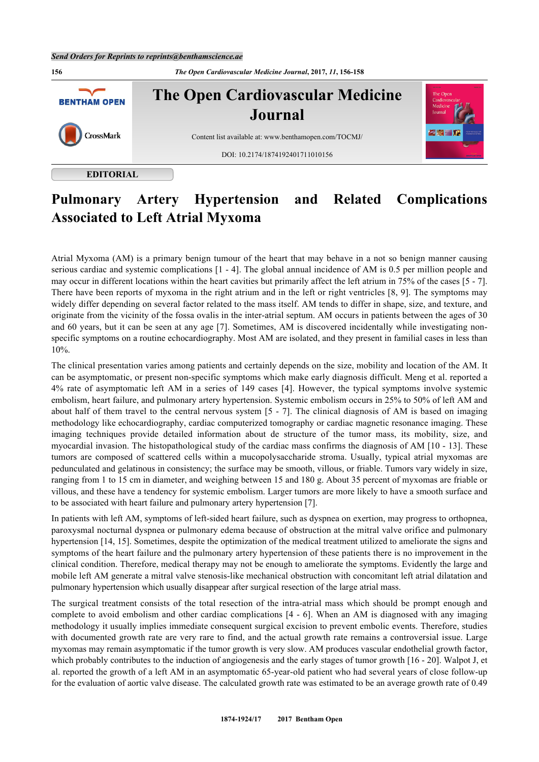

# **EDITORIAL**

# **Pulmonary Artery Hypertension and Related Complications Associated to Left Atrial Myxoma**

Atrial Myxoma (AM) is a primary benign tumour of the heart that may behave in a not so benign manner causing serious cardiac and systemic complications [\[1](#page-1-0) - [4\]](#page-1-1). The global annual incidence of AM is 0.5 per million people and may occur in different locations within the heart cavities but primarily affect the left atrium in 75% of the cases [[5](#page-1-2) - [7\]](#page-1-3). There have been reports of myxoma in the right atrium and in the left or right ventricles [[8](#page-1-4), [9\]](#page-1-5). The symptoms may widely differ depending on several factor related to the mass itself. AM tends to differ in shape, size, and texture, and originate from the vicinity of the fossa ovalis in the inter-atrial septum. AM occurs in patients between the ages of 30 and 60 years, but it can be seen at any age [[7\]](#page-1-3). Sometimes, AM is discovered incidentally while investigating nonspecific symptoms on a routine echocardiography. Most AM are isolated, and they present in familial cases in less than 10%.

The clinical presentation varies among patients and certainly depends on the size, mobility and location of the AM. It can be asymptomatic, or present non-specific symptoms which make early diagnosis difficult. Meng et al. reported a 4% rate of asymptomatic left AM in a series of 149 cases[[4\]](#page-1-1). However, the typical symptoms involve systemic embolism, heart failure, and pulmonary artery hypertension. Systemic embolism occurs in 25% to 50% of left AM and about half of them travel to the central nervous system [[5](#page-1-2) - [7\]](#page-1-3). The clinical diagnosis of AM is based on imaging methodology like echocardiography, cardiac computerized tomography or cardiac magnetic resonance imaging. These imaging techniques provide detailed information about de structure of the tumor mass, its mobility, size, and myocardial invasion. The histopathological study of the cardiac mass confirms the diagnosis of AM [[10](#page-1-6) - [13](#page-1-7)]. These tumors are composed of scattered cells within a mucopolysaccharide stroma. Usually, typical atrial myxomas are pedunculated and gelatinous in consistency; the surface may be smooth, villous, or friable. Tumors vary widely in size, ranging from 1 to 15 cm in diameter, and weighing between 15 and 180 g. About 35 percent of myxomas are friable or villous, and these have a tendency for systemic embolism. Larger tumors are more likely to have a smooth surface and to be associated with heart failure and pulmonary artery hypertension [[7\]](#page-1-3).

In patients with left AM, symptoms of left-sided heart failure, such as dyspnea on exertion, may progress to orthopnea, paroxysmal nocturnal dyspnea or pulmonary edema because of obstruction at the mitral valve orifice and pulmonary hypertension [[14,](#page-1-8) [15\]](#page-1-9). Sometimes, despite the optimization of the medical treatment utilized to ameliorate the signs and symptoms of the heart failure and the pulmonary artery hypertension of these patients there is no improvement in the clinical condition. Therefore, medical therapy may not be enough to ameliorate the symptoms. Evidently the large and mobile left AM generate a mitral valve stenosis-like mechanical obstruction with concomitant left atrial dilatation and pulmonary hypertension which usually disappear after surgical resection of the large atrial mass.

The surgical treatment consists of the total resection of the intra-atrial mass which should be prompt enough and complete to avoid embolism and other cardiac complications [\[4](#page-1-1) - [6\]](#page-1-10). When an AM is diagnosed with any imaging methodology it usually implies immediate consequent surgical excision to prevent embolic events. Therefore, studies with documented growth rate are very rare to find, and the actual growth rate remains a controversial issue. Large myxomas may remain asymptomatic if the tumor growth is very slow. AM produces vascular endothelial growth factor, which probably contributes to the induction of angiogenesis and the early stages of tumor growth [\[16](#page-2-0) - [20\]](#page-2-1). Walpot J, et al. reported the growth of a left AM in an asymptomatic 65-year-old patient who had several years of close follow-up for the evaluation of aortic valve disease. The calculated growth rate was estimated to be an average growth rate of 0.49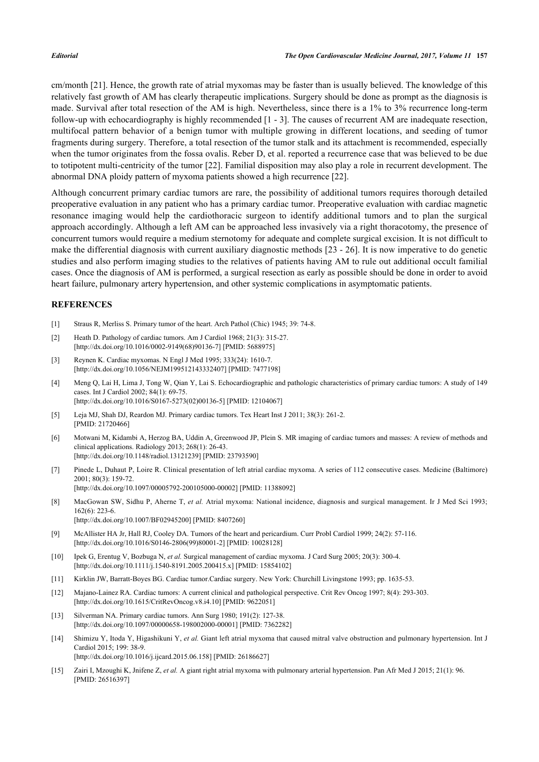cm/month [\[21](#page-2-2)]. Hence, the growth rate of atrial myxomas may be faster than is usually believed. The knowledge of this relatively fast growth of AM has clearly therapeutic implications. Surgery should be done as prompt as the diagnosis is made. Survival after total resection of the AM is high. Nevertheless, since there is a 1% to 3% recurrence long-term follow-up with echocardiography is highly recommended [\[1](#page-1-0) - [3\]](#page-1-11). The causes of recurrent AM are inadequate resection, multifocal pattern behavior of a benign tumor with multiple growing in different locations, and seeding of tumor fragments during surgery. Therefore, a total resection of the tumor stalk and its attachment is recommended, especially when the tumor originates from the fossa ovalis. Reber D, et al. reported a recurrence case that was believed to be due to totipotent multi-centricity of the tumor [[22](#page-2-3)]. Familial disposition may also play a role in recurrent development. The abnormal DNA ploidy pattern of myxoma patients showed a high recurrence [[22\]](#page-2-3).

Although concurrent primary cardiac tumors are rare, the possibility of additional tumors requires thorough detailed preoperative evaluation in any patient who has a primary cardiac tumor. Preoperative evaluation with cardiac magnetic resonance imaging would help the cardiothoracic surgeon to identify additional tumors and to plan the surgical approach accordingly. Although a left AM can be approached less invasively via a right thoracotomy, the presence of concurrent tumors would require a medium sternotomy for adequate and complete surgical excision. It is not difficult to make the differential diagnosis with current auxiliary diagnostic methods [[23](#page-2-4) - [26\]](#page-2-5). It is now imperative to do genetic studies and also perform imaging studies to the relatives of patients having AM to rule out additional occult familial cases. Once the diagnosis of AM is performed, a surgical resection as early as possible should be done in order to avoid heart failure, pulmonary artery hypertension, and other systemic complications in asymptomatic patients.

### **REFERENCES**

- <span id="page-1-0"></span>[1] Straus R, Merliss S. Primary tumor of the heart. Arch Pathol (Chic) 1945; 39: 74-8.
- [2] Heath D. Pathology of cardiac tumors. Am J Cardiol 1968; 21(3): 315-27. [\[http://dx.doi.org/10.1016/0002-9149\(68\)90136-7](http://dx.doi.org/10.1016/0002-9149(68)90136-7)] [PMID: [5688975](http://www.ncbi.nlm.nih.gov/pubmed/5688975)]
- <span id="page-1-11"></span>[3] Reynen K. Cardiac myxomas. N Engl J Med 1995; 333(24): 1610-7. [\[http://dx.doi.org/10.1056/NEJM199512143332407\]](http://dx.doi.org/10.1056/NEJM199512143332407) [PMID: [7477198](http://www.ncbi.nlm.nih.gov/pubmed/7477198)]
- <span id="page-1-1"></span>[4] Meng Q, Lai H, Lima J, Tong W, Qian Y, Lai S. Echocardiographic and pathologic characteristics of primary cardiac tumors: A study of 149 cases. Int J Cardiol 2002; 84(1): 69-75. [\[http://dx.doi.org/10.1016/S0167-5273\(02\)00136-5\]](http://dx.doi.org/10.1016/S0167-5273(02)00136-5) [PMID: [12104067](http://www.ncbi.nlm.nih.gov/pubmed/12104067)]
- <span id="page-1-2"></span>[5] Leja MJ, Shah DJ, Reardon MJ. Primary cardiac tumors. Tex Heart Inst J 2011; 38(3): 261-2. [PMID: [21720466\]](http://www.ncbi.nlm.nih.gov/pubmed/21720466)
- <span id="page-1-10"></span>[6] Motwani M, Kidambi A, Herzog BA, Uddin A, Greenwood JP, Plein S. MR imaging of cardiac tumors and masses: A review of methods and clinical applications. Radiology 2013; 268(1): 26-43. [\[http://dx.doi.org/10.1148/radiol.13121239](http://dx.doi.org/10.1148/radiol.13121239)] [PMID: [23793590](http://www.ncbi.nlm.nih.gov/pubmed/23793590)]
- <span id="page-1-3"></span>[7] Pinede L, Duhaut P, Loire R. Clinical presentation of left atrial cardiac myxoma. A series of 112 consecutive cases. Medicine (Baltimore) 2001; 80(3): 159-72. [\[http://dx.doi.org/10.1097/00005792-200105000-00002](http://dx.doi.org/10.1097/00005792-200105000-00002)] [PMID: [11388092\]](http://www.ncbi.nlm.nih.gov/pubmed/11388092)
- <span id="page-1-4"></span>[8] MacGowan SW, Sidhu P, Aherne T, *et al.* Atrial myxoma: National incidence, diagnosis and surgical management. Ir J Med Sci 1993; 162(6): 223-6. [\[http://dx.doi.org/10.1007/BF02945200\]](http://dx.doi.org/10.1007/BF02945200) [PMID: [8407260](http://www.ncbi.nlm.nih.gov/pubmed/8407260)]
- <span id="page-1-5"></span>[9] McAllister HA Jr, Hall RJ, Cooley DA. Tumors of the heart and pericardium. Curr Probl Cardiol 1999; 24(2): 57-116. [\[http://dx.doi.org/10.1016/S0146-2806\(99\)80001-2\]](http://dx.doi.org/10.1016/S0146-2806(99)80001-2) [PMID: [10028128](http://www.ncbi.nlm.nih.gov/pubmed/10028128)]
- <span id="page-1-6"></span>[10] Ipek G, Erentug V, Bozbuga N, *et al.* Surgical management of cardiac myxoma. J Card Surg 2005; 20(3): 300-4. [\[http://dx.doi.org/10.1111/j.1540-8191.2005.200415.x\]](http://dx.doi.org/10.1111/j.1540-8191.2005.200415.x) [PMID: [15854102](http://www.ncbi.nlm.nih.gov/pubmed/15854102)]
- [11] Kirklin JW, Barratt-Boyes BG. Cardiac tumor.Cardiac surgery. New York: Churchill Livingstone 1993; pp. 1635-53.
- [12] Majano-Lainez RA. Cardiac tumors: A current clinical and pathological perspective. Crit Rev Oncog 1997; 8(4): 293-303. [\[http://dx.doi.org/10.1615/CritRevOncog.v8.i4.10\]](http://dx.doi.org/10.1615/CritRevOncog.v8.i4.10) [PMID: [9622051](http://www.ncbi.nlm.nih.gov/pubmed/9622051)]
- <span id="page-1-7"></span>[13] Silverman NA. Primary cardiac tumors. Ann Surg 1980; 191(2): 127-38. [\[http://dx.doi.org/10.1097/00000658-198002000-00001](http://dx.doi.org/10.1097/00000658-198002000-00001)] [PMID: [7362282\]](http://www.ncbi.nlm.nih.gov/pubmed/7362282)
- <span id="page-1-8"></span>[14] Shimizu Y, Itoda Y, Higashikuni Y, *et al.* Giant left atrial myxoma that caused mitral valve obstruction and pulmonary hypertension. Int J Cardiol 2015; 199: 38-9. [\[http://dx.doi.org/10.1016/j.ijcard.2015.06.158](http://dx.doi.org/10.1016/j.ijcard.2015.06.158)] [PMID: [26186627\]](http://www.ncbi.nlm.nih.gov/pubmed/26186627)
- <span id="page-1-9"></span>[15] Zairi I, Mzoughi K, Jnifene Z, *et al.* A giant right atrial myxoma with pulmonary arterial hypertension. Pan Afr Med J 2015; 21(1): 96. [PMID: [26516397\]](http://www.ncbi.nlm.nih.gov/pubmed/26516397)